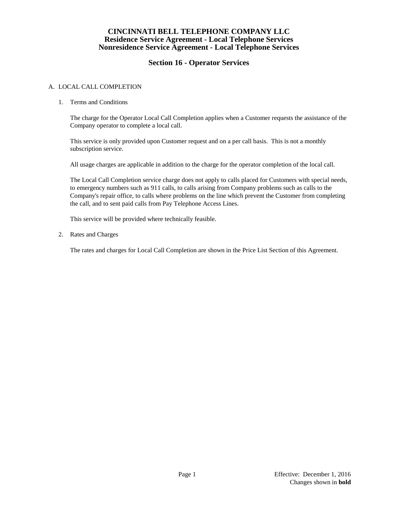### **CINCINNATI BELL TELEPHONE COMPANY LLC Residence Service Agreement - Local Telephone Services Nonresidence Service Agreement - Local Telephone Services**

## **Section 16 - Operator Services**

#### A. LOCAL CALL COMPLETION

1. Terms and Conditions

The charge for the Operator Local Call Completion applies when a Customer requests the assistance of the Company operator to complete a local call.

This service is only provided upon Customer request and on a per call basis. This is not a monthly subscription service.

All usage charges are applicable in addition to the charge for the operator completion of the local call.

The Local Call Completion service charge does not apply to calls placed for Customers with special needs, to emergency numbers such as 911 calls, to calls arising from Company problems such as calls to the Company's repair office, to calls where problems on the line which prevent the Customer from completing the call, and to sent paid calls from Pay Telephone Access Lines.

This service will be provided where technically feasible.

2. Rates and Charges

The rates and charges for Local Call Completion are shown in the Price List Section of this Agreement.